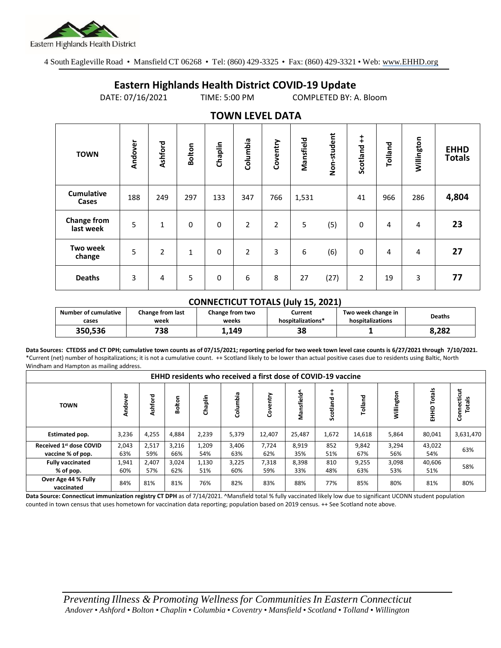

4 South Eagleville Road • Mansfield CT 06268 • Tel: (860) 429-3325 • Fax: (860) 429-3321 • Web: www.EHHD.org

## **Eastern Highlands Health District COVID-19 Update**

DATE: 07/16/2021 TIME: 5:00 PM COMPLETED BY: A. Bloom

| . <i>.</i> .                    |         |                |               |         |                |                |           |             |                        |         |            |                              |
|---------------------------------|---------|----------------|---------------|---------|----------------|----------------|-----------|-------------|------------------------|---------|------------|------------------------------|
| <b>TOWN</b>                     | Andover | Ashford        | <b>Bolton</b> | Chaplin | Columbia       | Coventry       | Mansfield | Non-student | $\ddagger$<br>Scotland | Tolland | Willington | <b>EHHD</b><br><b>Totals</b> |
| <b>Cumulative</b><br>Cases      | 188     | 249            | 297           | 133     | 347            | 766            | 1,531     |             | 41                     | 966     | 286        | 4,804                        |
| <b>Change from</b><br>last week | 5       | 1              | 0             | 0       | $\overline{2}$ | $\overline{2}$ | 5         | (5)         | 0                      | 4       | 4          | 23                           |
| <b>Two week</b><br>change       | 5       | $\overline{2}$ | 1             | 0       | $\overline{2}$ | 3              | 6         | (6)         | 0                      | 4       | 4          | 27                           |
| <b>Deaths</b>                   | 3       | 4              | 5             | 0       | 6              | 8              | 27        | (27)        | $\overline{2}$         | 19      | 3          | 77                           |

## **TOWN LEVEL DATA**

## **CONNECTICUT TOTALS (July 15, 2021)**

| <b>Number of cumulative</b> | <b>Change from last</b> | Change from two | Current           | Two week change in | <b>Deaths</b> |  |
|-----------------------------|-------------------------|-----------------|-------------------|--------------------|---------------|--|
| cases                       | week                    | weeks           | hospitalizations* | hospitalizations   |               |  |
| 350,536                     | 738                     | 1.149           | 38                |                    | 8.282         |  |

**Data Sources: CTEDSS and CT DPH; cumulative town counts as of 07/15/2021; reporting period for two week town level case counts is 6/27/2021 through 7/10/2021.** \*Current (net) number of hospitalizations; it is not a cumulative count. ++ Scotland likely to be lower than actual positive cases due to residents using Baltic, North Windham and Hampton as mailing address.

| <b>EHHD residents who received a first dose of COVID-19 vaccine</b> |              |              |              |              |              |              |               |            |              |                |                           |                         |
|---------------------------------------------------------------------|--------------|--------------|--------------|--------------|--------------|--------------|---------------|------------|--------------|----------------|---------------------------|-------------------------|
| <b>TOWN</b>                                                         | dover<br>₹   | Ashford      | olton<br>∞   | Chaplin      | Columbia     | ntry<br>ဒီ   | nsfield^<br>š | Scotland   | Tolland      | 둥<br>Willingto | <b>Totals</b><br>요<br>EHH | Connecticut<br>ais<br>ö |
| Estimated pop.                                                      | 3,236        | 4,255        | 4,884        | 2,239        | 5,379        | 12,407       | 25,487        | 1,672      | 14,618       | 5,864          | 80,041                    | 3,631,470               |
| Received 1 <sup>st</sup> dose COVID<br>vaccine % of pop.            | 2,043<br>63% | 2,517<br>59% | 3,216<br>66% | 1,209<br>54% | 3,406<br>63% | 7,724<br>62% | 8,919<br>35%  | 852<br>51% | 9,842<br>67% | 3,294<br>56%   | 43,022<br>54%             | 63%                     |
| <b>Fully vaccinated</b><br>% of pop.                                | 1,941<br>60% | 2,407<br>57% | 3,024<br>62% | 1,130<br>51% | 3,225<br>60% | 7,318<br>59% | 8,398<br>33%  | 810<br>48% | 9,255<br>63% | 3,098<br>53%   | 40,606<br>51%             | 58%                     |
| Over Age 44 % Fully<br>vaccinated                                   | 84%          | 81%          | 81%          | 76%          | 82%          | 83%          | 88%           | 77%        | 85%          | 80%            | 81%                       | 80%                     |

**Data Source: Connecticut immunization registry CT DPH** as of 7/14/2021. ^Mansfield total % fully vaccinated likely low due to significant UCONN student population counted in town census that uses hometown for vaccination data reporting; population based on 2019 census. ++ See Scotland note above.